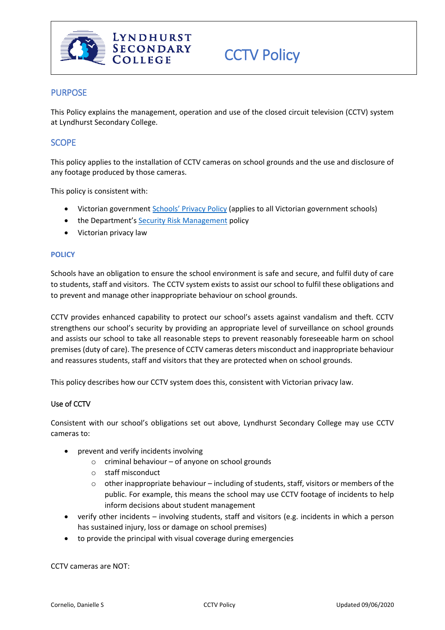

# **PURPOSE**

This Policy explains the management, operation and use of the closed circuit television (CCTV) system at Lyndhurst Secondary College.

# **SCOPE**

This policy applies to the installation of CCTV cameras on school grounds and the use and disclosure of any footage produced by those cameras.

This policy is consistent with:

- Victorian government School[s' Privacy Policy](https://www.education.vic.gov.au/Pages/schoolsprivacypolicy.aspx) (applies to all Victorian government schools)
- the Department's [Security Risk Management](https://www.education.vic.gov.au/school/principals/spag/management/pages/security.aspx) policy
- Victorian privacy law

#### **POLICY**

Schools have an obligation to ensure the school environment is safe and secure, and fulfil duty of care to students, staff and visitors. The CCTV system exists to assist our school to fulfil these obligations and to prevent and manage other inappropriate behaviour on school grounds.

CCTV provides enhanced capability to protect our school's assets against vandalism and theft. CCTV strengthens our school's security by providing an appropriate level of surveillance on school grounds and assists our school to take all reasonable steps to prevent reasonably foreseeable harm on school premises (duty of care). The presence of CCTV cameras deters misconduct and inappropriate behaviour and reassures students, staff and visitors that they are protected when on school grounds.

This policy describes how our CCTV system does this, consistent with Victorian privacy law.

### Use of CCTV

Consistent with our school's obligations set out above, Lyndhurst Secondary College may use CCTV cameras to:

- prevent and verify incidents involving
	- o criminal behaviour of anyone on school grounds
	- o staff misconduct
	- $\circ$  other inappropriate behaviour including of students, staff, visitors or members of the public. For example, this means the school may use CCTV footage of incidents to help inform decisions about student management
- verify other incidents involving students, staff and visitors (e.g. incidents in which a person has sustained injury, loss or damage on school premises)
- to provide the principal with visual coverage during emergencies

CCTV cameras are NOT: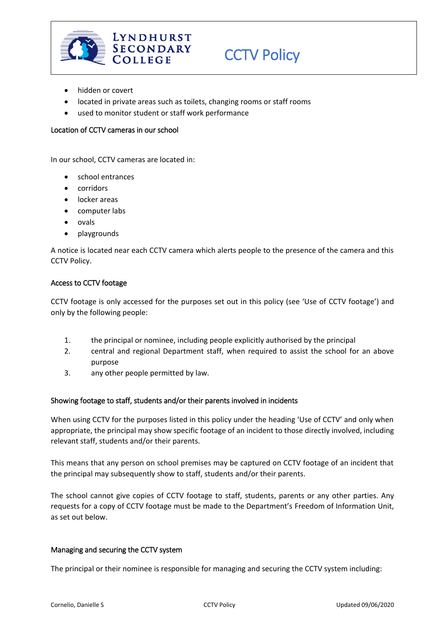

- hidden or covert
- located in private areas such as toilets, changing rooms or staff rooms
- used to monitor student or staff work performance

### Location of CCTV cameras in our school

In our school, CCTV cameras are located in:

- school entrances
- corridors
- locker areas
- computer labs
- ovals
- playgrounds

A notice is located near each CCTV camera which alerts people to the presence of the camera and this CCTV Policy.

#### Access to CCTV footage

CCTV footage is only accessed for the purposes set out in this policy (see 'Use of CCTV footage') and only by the following people:

- 1. the principal or nominee, including people explicitly authorised by the principal
- 2. central and regional Department staff, when required to assist the school for an above purpose
- 3. any other people permitted by law.

#### Showing footage to staff, students and/or their parents involved in incidents

When using CCTV for the purposes listed in this policy under the heading 'Use of CCTV' and only when appropriate, the principal may show specific footage of an incident to those directly involved, including relevant staff, students and/or their parents.

This means that any person on school premises may be captured on CCTV footage of an incident that the principal may subsequently show to staff, students and/or their parents.

The school cannot give copies of CCTV footage to staff, students, parents or any other parties. Any requests for a copy of CCTV footage must be made to the Department's Freedom of Information Unit, as set out below.

#### Managing and securing the CCTV system

The principal or their nominee is responsible for managing and securing the CCTV system including: